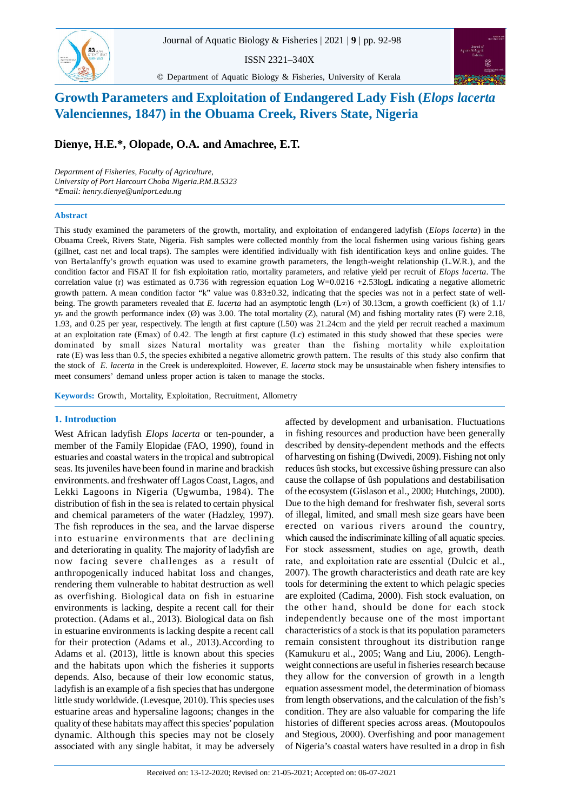Growth Parameters and Exploitation of Endangered Lady Fish (*Elops lacerta* Valenciennes, 1847) in the Obuama Creek, Rivers State, Nigeria

ISSN 2321–340X



© Department of Aquatic Biology & Fisheries, University of Kerala

# **Growth Parameters and Exploitation of Endangered Lady Fish (***Elops lacerta* **Valenciennes, 1847) in the Obuama Creek, Rivers State, Nigeria**

## **Dienye, H.E.\*, Olopade, O.A. and Amachree, E.T.**

*Department of Fisheries, Faculty of Agriculture, University of Port Harcourt Choba Nigeria.P.M.B.5323 \*Email: henry.dienye@uniport.edu.ng*

#### **Abstract**

 $83...$ 

This study examined the parameters of the growth, mortality, and exploitation of endangered ladyfish (*Elops lacerta*) in the Obuama Creek, Rivers State, Nigeria. Fish samples were collected monthly from the local fishermen using various fishing gears (gillnet, cast net and local traps). The samples were identified individually with fish identification keys and online guides. The von Bertalanffy's growth equation was used to examine growth parameters, the length-weight relationship (L.W.R.), and the condition factor and FiSAT II for fish exploitation ratio, mortality parameters, and relative yield per recruit of *Elops lacerta*. The correlation value (r) was estimated as  $0.736$  with regression equation Log W=0.0216 +2.53logL indicating a negative allometric growth pattern. A mean condition factor "k" value was 0.83±0.32, indicating that the species was not in a perfect state of wellbeing. The growth parameters revealed that *E. lacerta* had an asymptotic length (L $\infty$ ) of 30.13cm, a growth coefficient (k) of 1.1/ yr. and the growth performance index  $(\emptyset)$  was 3.00. The total mortality  $(Z)$ , natural  $(M)$  and fishing mortality rates  $(F)$  were 2.18, 1.93, and 0.25 per year, respectively. The length at first capture (L50) was 21.24cm and the yield per recruit reached a maximum at an exploitation rate (Emax) of 0.42. The length at first capture (Lc) estimated in this study showed that these species were dominated by small sizes Natural mortality was greater than the fishing mortality while exploitation rate (E) was less than 0.5, the species exhibited a negative allometric growth pattern. The results of this study also confirm that the stock of *E. lacerta* in the Creek is underexploited. However, *E. lacerta* stock may be unsustainable when fishery intensifies to meet consumers' demand unless proper action is taken to manage the stocks.

**Keywords:** Growth, Mortality, Exploitation, Recruitment, Allometry

West African ladyfish *Elops lacerta* or ten-pounder, a member of the Family Elopidae (FAO, 1990), found in estuaries and coastal waters in the tropical and subtropical seas. Its juveniles have been found in marine and brackish environments. and freshwater off Lagos Coast, Lagos, and Lekki Lagoons in Nigeria (Ugwumba, 1984). The distribution of fish in the sea is related to certain physical and chemical parameters of the water (Hadzley, 1997). The fish reproduces in the sea, and the larvae disperse into estuarine environments that are declining and deteriorating in quality. The majority of ladyfish are now facing severe challenges as a result of anthropogenically induced habitat loss and changes, rendering them vulnerable to habitat destruction as well as overfishing. Biological data on fish in estuarine environments is lacking, despite a recent call for their protection. (Adams et al., 2013). Biological data on fish in estuarine environments is lacking despite a recent call for their protection (Adams et al., 2013).According to Adams et al. (2013), little is known about this species and the habitats upon which the fisheries it supports depends. Also, because of their low economic status, ladyfish is an example of a fish species that has undergone little study worldwide. (Levesque, 2010). This species uses estuarine areas and hypersaline lagoons; changes in the quality of these habitats may affect this species' population dynamic. Although this species may not be closely associated with any single habitat, it may be adversely

**1. Introduction** affected by development and urbanisation. Fluctuations in fishing resources and production have been generally described by density-dependent methods and the effects of harvesting on fishing (Dwivedi, 2009). Fishing not only reduces ûsh stocks, but excessive ûshing pressure can also cause the collapse of ûsh populations and destabilisation of the ecosystem (Gislason et al., 2000; Hutchings, 2000). Due to the high demand for freshwater fish, several sorts of illegal, limited, and small mesh size gears have been erected on various rivers around the country, which caused the indiscriminate killing of all aquatic species. For stock assessment, studies on age, growth, death rate, and exploitation rate are essential (Dulcic et al., 2007). The growth characteristics and death rate are key tools for determining the extent to which pelagic species are exploited (Cadima, 2000). Fish stock evaluation, on the other hand, should be done for each stock independently because one of the most important characteristics of a stock is that its population parameters remain consistent throughout its distribution range (Kamukuru et al., 2005; Wang and Liu, 2006). Lengthweight connections are useful in fisheries research because they allow for the conversion of growth in a length equation assessment model, the determination of biomass from length observations, and the calculation of the fish's condition. They are also valuable for comparing the life histories of different species across areas. (Moutopoulos and Stegious, 2000). Overfishing and poor management of Nigeria's coastal waters have resulted in a drop in fish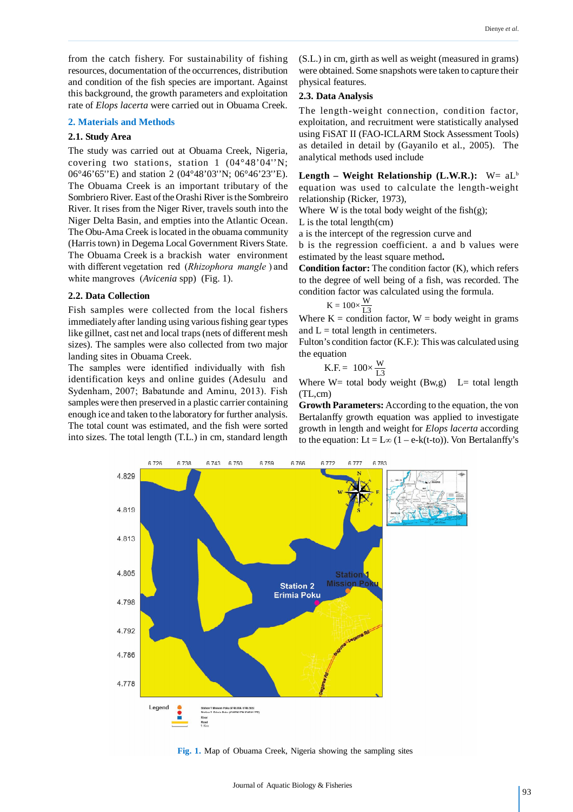from the catch fishery. For sustainability of fishing resources, documentation of the occurrences, distribution and condition of the fish species are important. Against this background, the growth parameters and exploitation rate of *Elops lacerta* were carried out in Obuama Creek.

#### **2. Materials and Methods**

#### **2.1. Study Area**

The study was carried out at Obuama Creek, Nigeria, covering two stations, station 1 (04°48'04''N; 06°46'65''E) and station 2 (04°48'03''N; 06°46'23''E). The Obuama Creek is an important tributary of the Sombriero River. East of the Orashi River is the Sombreiro River. It rises from the Niger River, travels south into the Niger Delta Basin, and empties into the Atlantic Ocean. The Obu-Ama Creek is located in the obuama community (Harris town) in Degema Local Government Rivers State. The Obuama Creek is a brackish water environment with different vegetation red (*Rhizophora mangle* ) and white mangroves (*Avicenia* spp) (Fig. 1).

#### **2.2. Data Collection**

Fish samples were collected from the local fishers immediately after landing using various fishing gear types like gillnet, cast net and local traps (nets of different mesh sizes). The samples were also collected from two major landing sites in Obuama Creek.

The samples were identified individually with fish identification keys and online guides (Adesulu and Sydenham, 2007; Babatunde and Aminu, 2013). Fish samples were then preserved in a plastic carrier containing enough ice and taken to the laboratory for further analysis. The total count was estimated, and the fish were sorted into sizes. The total length (T.L.) in cm, standard length (S.L.) in cm, girth as well as weight (measured in grams) were obtained. Some snapshots were taken to capture their physical features.

#### **2.3. Data Analysis**

The length-weight connection, condition factor, exploitation, and recruitment were statistically analysed using FiSAT II (FAO-ICLARM Stock Assessment Tools) as detailed in detail by (Gayanilo et al., 2005). The analytical methods used include

Length – Weight Relationship (L.W.R.): W= aL<sup>b</sup> equation was used to calculate the length-weight relationship (Ricker, 1973),

Where W is the total body weight of the fish $(g)$ ;

L is the total length(cm)

a is the intercept of the regression curve and

b is the regression coefficient. a and b values were estimated by the least square method**.**

**Condition factor:** The condition factor (K), which refers to the degree of well being of a fish, was recorded. The condition factor was calculated using the formula.

$$
K = 100 \times \frac{W}{L3}
$$

Where  $K =$  condition factor,  $W =$  body weight in grams and  $L =$  total length in centimeters.

Fulton's condition factor (K.F.): This was calculated using the equation

$$
K.F. = 100 \times \frac{W}{L3}
$$

Where  $W=$  total body weight (Bw,g) L= total length (TL,cm)

**Growth Parameters:** According to the equation, the von Bertalanffy growth equation was applied to investigate growth in length and weight for *Elops lacerta* according to the equation:  $Lt = L\infty (1 - e-k(t-to))$ . Von Bertalanffy's



**Fig. 1.** Map of Obuama Creek, Nigeria showing the sampling sites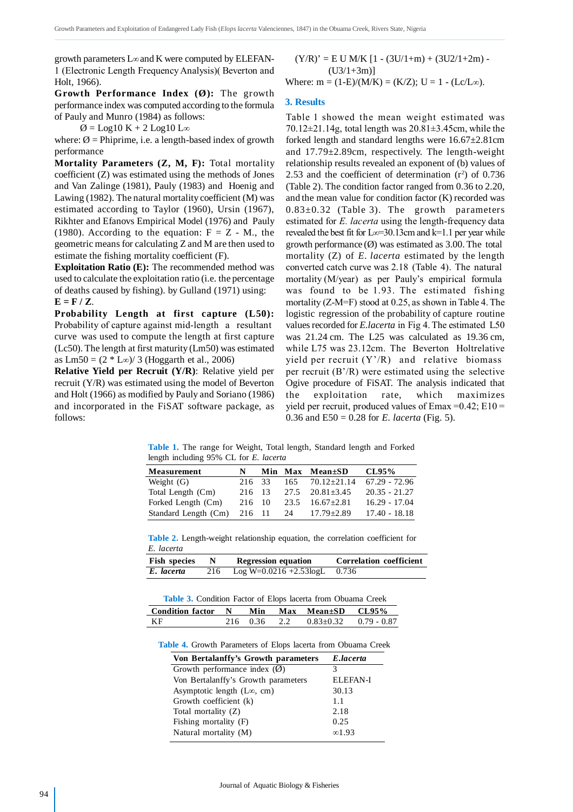growth parameters  $L\infty$  and K were computed by ELEFAN-1 (Electronic Length Frequency Analysis)( Beverton and Holt, 1966).

**Growth Performance Index (Ø):** The growth performance index was computed according to the formula of Pauly and Munro (1984) as follows:

 $\varnothing$  = Log10 K + 2 Log10 L $\infty$ 

where:  $\emptyset$  = Phiprime, i.e. a length-based index of growth performance

**Mortality Parameters (Z, M, F):** Total mortality coefficient (Z) was estimated using the methods of Jones and Van Zalinge (1981), Pauly (1983) and Hoenig and Lawing (1982). The natural mortality coefficient (M) was estimated according to Taylor (1960), Ursin (1967), Rikhter and Efanovs Empirical Model (1976) and Pauly (1980). According to the equation:  $F = Z - M$ , the geometric means for calculating Z and M are then used to estimate the fishing mortality coefficient (F).

**Exploitation Ratio (E):** The recommended method was used to calculate the exploitation ratio (i.e. the percentage of deaths caused by fishing). by Gulland (1971) using:  $E = F / Z$ .

**Probability Length at first capture (L50):** Probability of capture against mid-length a resultant curve was used to compute the length at first capture (Lc50). The length at first maturity (Lm50) was estimated as  $Lm50 = (2 * L\infty)/3$  (Hoggarth et al., 2006)

**Relative Yield per Recruit (Y/R)**: Relative yield per recruit (Y/R) was estimated using the model of Beverton and Holt (1966) as modified by Pauly and Soriano (1986) and incorporated in the FiSAT software package, as follows:

 $(Y/R)' = E U M/K [1 - (3U/1+m) + (3U2/1+2m) (U3/1+3m)$ ] Where:  $m = (1-E)/(M/K) = (K/Z); U = 1 - (Lc/L\infty).$ 

#### **3. Results**

Table 1 showed the mean weight estimated was  $70.12\pm21.14$ g, total length was  $20.81\pm3.45$ cm, while the forked length and standard lengths were  $16.67 \pm 2.81$ cm and 17.79±2.89cm, respectively. The length-weight relationship results revealed an exponent of (b) values of 2.53 and the coefficient of determination  $(r^2)$  of 0.736 (Table 2). The condition factor ranged from 0.36 to 2.20, and the mean value for condition factor (K) recorded was  $0.83\pm0.32$  (Table 3). The growth parameters estimated for *E. lacerta* using the length-frequency data revealed the best fit for  $L\infty=30.13$ cm and k=1.1 per year while growth performance  $(\emptyset)$  was estimated as 3.00. The total mortality (Z) of *E. lacerta* estimated by the length converted catch curve was 2.18 (Table 4). The natural mortality (M/year) as per Pauly's empirical formula was found to be 1.93. The estimated fishing mortality (Z-M=F) stood at 0.25, as shown in Table 4. The logistic regression of the probability of capture routine values recorded for *E.lacerta* in Fig 4. The estimated L50 was 21.24 cm. The L25 was calculated as 19.36 cm, while L75 was 23.12cm. The Beverton Holtrelative vield per recruit  $(Y'/R)$  and relative biomass per recruit (B'/R) were estimated using the selective Ogive procedure of FiSAT. The analysis indicated that the exploitation rate, which maximizes yield per recruit, produced values of  $Emax = 0.42$ ;  $E10 =$ 0.36 and E50 = 0.28 for *E. lacerta* (Fig. 5).

**Table 1.** The range for Weight, Total length, Standard length and Forked length including 95% CL for *E. lacerta*

| Measurement          | N      |     | Min Max Mean±SD         | CL95%           |
|----------------------|--------|-----|-------------------------|-----------------|
| Weight $(G)$         | 216 33 | 165 | $70.12 \pm 21.14$       | $67.29 - 72.96$ |
| Total Length (Cm)    | 216 13 |     | $27.5$ $20.81 \pm 3.45$ | $20.35 - 21.27$ |
| Forked Length (Cm)   | 216 10 |     | 23.5 $16.67 \pm 2.81$   | $16.29 - 17.04$ |
| Standard Length (Cm) | 216 11 | 24  | $17.79 \pm 2.89$        | $17.40 - 18.18$ |

**Table 2.** Length-weight relationship equation, the correlation coefficient for *E. lacerta*

| <b>Fish species</b> | <b>Regression equation</b>         | <b>Correlation coefficient</b> |
|---------------------|------------------------------------|--------------------------------|
| E. lacerta          | 216 Log W=0.0216 +2.53logL $0.736$ |                                |

**Table 3.** Condition Factor of Elops lacerta from Obuama Creek

| Condition factor N Min Max Mean±SD CL95% |  |                                      |  |
|------------------------------------------|--|--------------------------------------|--|
| ΚF                                       |  | $216$ 0.36 2.2 0.83+0.32 0.79 - 0.87 |  |

**Table 4.** Growth Parameters of Elops lacerta from Obuama Creek

| Von Bertalanffy's Growth parameters    | E.lacerta       |
|----------------------------------------|-----------------|
| Growth performance index $(\emptyset)$ | 3               |
| Von Bertalanffy's Growth parameters    | <b>ELEFAN-I</b> |
| Asymptotic length $(L\infty, cm)$      | 30.13           |
| Growth coefficient (k)                 | 1.1             |
| Total mortality (Z)                    | 2.18            |
| Fishing mortality $(F)$                | 0.25            |
| Natural mortality (M)                  | $\infty$ 1.93   |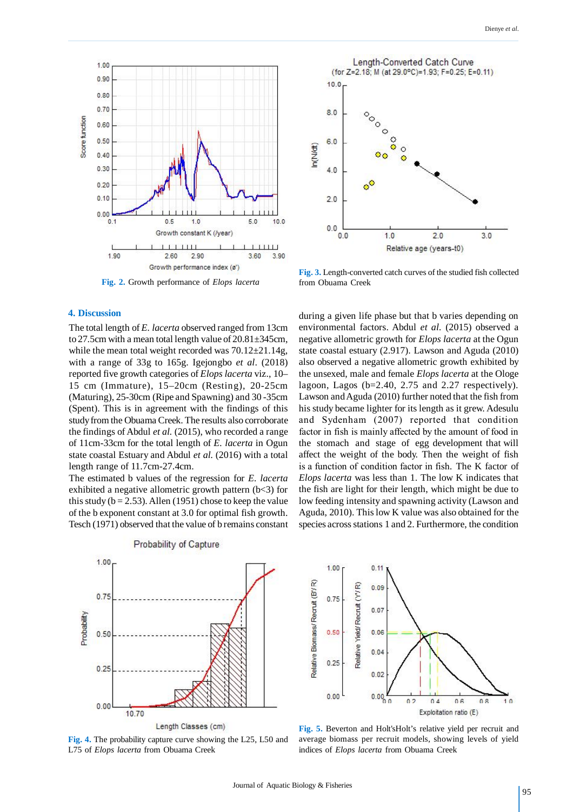

**Fig. 2.** Growth performance of *Elops lacerta*

### **4. Discussion**

The total length of *E. lacerta* observed ranged from 13cm to 27.5cm with a mean total length value of 20.81±345cm, while the mean total weight recorded was  $70.12\pm21.14$ g, with a range of 33g to 165g. Igejongbo *et al*. (2018) reported five growth categories of *Elops lacerta* viz., 10– 15 cm (Immature), 15–20cm (Resting), 20-25cm (Maturing), 25-30cm (Ripe and Spawning) and 30 -35cm (Spent). This is in agreement with the findings of this study from the Obuama Creek. The results also corroborate the findings of Abdul *et al.* (2015), who recorded a range of 11cm-33cm for the total length of *E. lacerta* in Ogun state coastal Estuary and Abdul *et al.* (2016) with a total length range of 11.7cm-27.4cm.

The estimated b values of the regression for *E. lacerta* exhibited a negative allometric growth pattern (b<3) for this study ( $b = 2.53$ ). Allen (1951) chose to keep the value of the b exponent constant at 3.0 for optimal fish growth. Tesch (1971) observed that the value of b remains constant



**Fig. 3.** Length-converted catch curves of the studied fish collected from Obuama Creek

during a given life phase but that b varies depending on environmental factors. Abdul *et al.* (2015) observed a negative allometric growth for *Elops lacerta* at the Ogun state coastal estuary (2.917). Lawson and Aguda (2010) also observed a negative allometric growth exhibited by the unsexed, male and female *Elops lacerta* at the Ologe lagoon, Lagos (b=2.40, 2.75 and 2.27 respectively). Lawson and Aguda (2010) further noted that the fish from his study became lighter for its length as it grew. Adesulu and Sydenham (2007) reported that condition factor in fish is mainly affected by the amount of food in the stomach and stage of egg development that will affect the weight of the body. Then the weight of fish is a function of condition factor in fish*.* The K factor of *Elops lacerta* was less than 1. The low K indicates that the fish are light for their length, which might be due to low feeding intensity and spawning activity (Lawson and Aguda, 2010). This low K value was also obtained for the species across stations 1 and 2. Furthermore, the condition







**Fig. 5.** Beverton and Holt'sHolt's relative yield per recruit and average biomass per recruit models, showing levels of yield indices of *Elops lacerta* from Obuama Creek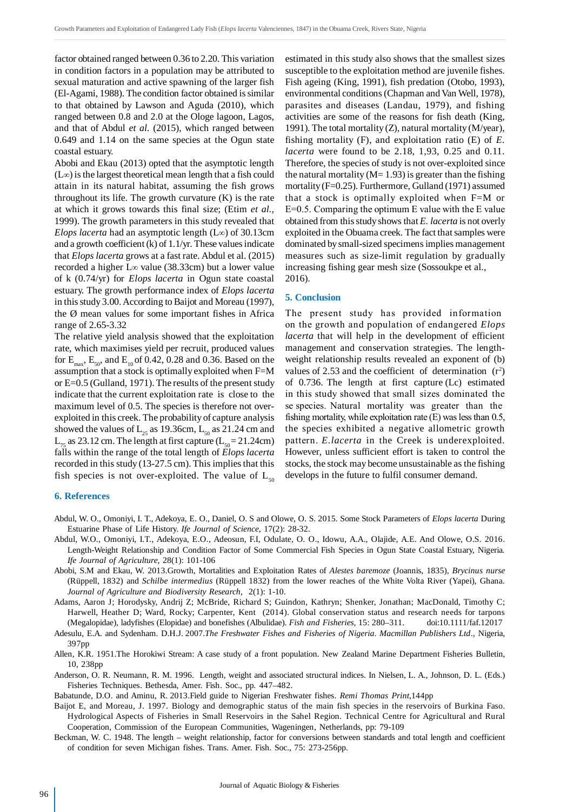factor obtained ranged between 0.36 to 2.20. This variation in condition factors in a population may be attributed to sexual maturation and active spawning of the larger fish (El-Agami, 1988). The condition factor obtained is similar to that obtained by Lawson and Aguda (2010), which ranged between 0.8 and 2.0 at the Ologe lagoon, Lagos, and that of Abdul *et al.* (2015), which ranged between 0.649 and 1.14 on the same species at the Ogun state coastal estuary.

Abobi and Ekau (2013) opted that the asymptotic length  $(L\infty)$  is the largest theoretical mean length that a fish could attain in its natural habitat, assuming the fish grows throughout its life. The growth curvature  $(K)$  is the rate at which it grows towards this final size; (Etim *et al.,* 1999). The growth parameters in this study revealed that *Elops lacerta* had an asymptotic length  $(L\infty)$  of 30.13cm and a growth coefficient (k) of 1.1/yr. These values indicate that *Elops lacerta* grows at a fast rate. Abdul et al. (2015) recorded a higher  $L<sub>\infty</sub>$  value (38.33cm) but a lower value of k (0.74/yr) for *Elops lacerta* in Ogun state coastal estuary. The growth performance index of *Elops lacerta* in this study 3.00. According to Baijot and Moreau (1997), the Ø mean values for some important fishes in Africa range of 2.65-3.32

The relative yield analysis showed that the exploitation rate, which maximises yield per recruit, produced values for  $\text{E}_{\text{max}}$ ,  $\text{E}_{\text{50}}$ , and  $\text{E}_{\text{10}}$  of 0.42, 0.28 and 0.36. Based on the assumption that a stock is optimally exploited when F=M or E=0.5 (Gulland, 1971). The results of the present study indicate that the current exploitation rate is close to the maximum level of 0.5. The species is therefore not overexploited in this creek. The probability of capture analysis showed the values of  $L_{25}$  as 19.36cm,  $L_{50}$  as 21.24 cm and  $L_{75}$  as 23.12 cm. The length at first capture ( $L_{50} = 21.24$ cm) falls within the range of the total length of *Elops lacerta* recorded in this study (13-27.5 cm). This implies that this fish species is not over-exploited. The value of  $L_{50}$  estimated in this study also shows that the smallest sizes susceptible to the exploitation method are juvenile fishes. Fish ageing (King, 1991), fish predation (Otobo, 1993), environmental conditions (Chapman and Van Well, 1978), parasites and diseases (Landau, 1979), and fishing activities are some of the reasons for fish death (King, 1991). The total mortality (Z), natural mortality (M/year), fishing mortality (F), and exploitation ratio (E) of *E. lacerta* were found to be 2.18, 1,93, 0.25 and 0.11. Therefore, the species of study is not over-exploited since the natural mortality ( $M=1.93$ ) is greater than the fishing mortality (F=0.25). Furthermore, Gulland (1971) assumed that a stock is optimally exploited when F=M or E=0.5. Comparing the optimum E value with the E value obtained from this study shows that *E. lacerta* is not overly exploited in the Obuama creek. The fact that samples were dominated by small-sized specimens implies management measures such as size-limit regulation by gradually increasing fishing gear mesh size (Sossoukpe et al., 2016).

#### **5. Conclusion**

The present study has provided information on the growth and population of endangered *Elops lacerta* that will help in the development of efficient management and conservation strategies. The lengthweight relationship results revealed an exponent of (b) values of 2.53 and the coefficient of determination  $(r^2)$ of 0.736. The length at first capture (Lc) estimated in this study showed that small sizes dominated the se species. Natural mortality was greater than the fishing mortality, while exploitation rate (E) was less than 0.5, the species exhibited a negative allometric growth pattern. *E.lacerta* in the Creek is underexploited. However, unless sufficient effort is taken to control the stocks, the stock may become unsustainable as the fishing develops in the future to fulfil consumer demand.

#### **6. References**

- Abdul, W. O., Omoniyi, I. T., Adekoya, E. O., Daniel, O. S and Olowe, O. S. 2015. Some Stock Parameters of *Elops lacerta* During Estuarine Phase of Life History. *Ife Journal of Science*, 17(2): 28-32.
- Abdul, W.O., Omoniyi, I.T., Adekoya, E.O., Adeosun, F.I, Odulate, O. O., Idowu, A.A., Olajide, A.E. And Olowe, O.S. 2016. Length-Weight Relationship and Condition Factor of Some Commercial Fish Species in Ogun State Coastal Estuary, Nigeria*. Ife Journal of Agriculture*, 28(1): 101-106
- Abobi, S.M and Ekau, W. 2013.Growth, Mortalities and Exploitation Rates of *Alestes baremoze* (Joannis, 1835), *Brycinus nurse* (Rüppell, 1832) and *Schilbe intermedius* (Rüppell 1832) from the lower reaches of the White Volta River (Yapei), Ghana. *Journal of Agriculture and Biodiversity Research,* 2(1): 1-10.
- Adams, Aaron J; Horodysky, Andrij Z; McBride, Richard S; Guindon, Kathryn; Shenker, Jonathan; MacDonald, Timothy C; Harwell, Heather D; Ward, Rocky; Carpenter, Kent (2014). Global conservation status and research needs for tarpons (Megalopidae), ladyfishes (Elopidae) and bonefishes (Albulidae). *Fish and Fisheries,* 15: 280–311. doi:10.1111/faf.12017
- Adesulu, E.A. and Sydenham. D.H.J. 2007.*The Freshwater Fishes and Fisheries of Nigeria*. *Macmillan Publishers Ltd*., Nigeria, 397pp
- Allen, K.R. 1951.The Horokiwi Stream: A case study of a front population. New Zealand Marine Department Fisheries Bulletin, 10, 238pp
- Anderson, O. R. Neumann, R. M. 1996. Length, weight and associated structural indices. In Nielsen, L. A., Johnson, D. L. (Eds.) Fisheries Techniques. Bethesda, Amer. Fish. Soc., pp. 447–482.
- Babatunde, D.O. and Aminu, R. 2013.Field guide to Nigerian Freshwater fishes. *Remi Thomas Print*,144pp
- Baijot E, and Moreau, J. 1997. Biology and demographic status of the main fish species in the reservoirs of Burkina Faso. Hydrological Aspects of Fisheries in Small Reservoirs in the Sahel Region. Technical Centre for Agricultural and Rural Cooperation, Commission of the European Communities, Wageningen, Netherlands, pp: 79-109
- Beckman, W. C. 1948. The length weight relationship, factor for conversions between standards and total length and coefficient of condition for seven Michigan fishes. Trans. Amer. Fish. Soc., 75: 273-256pp.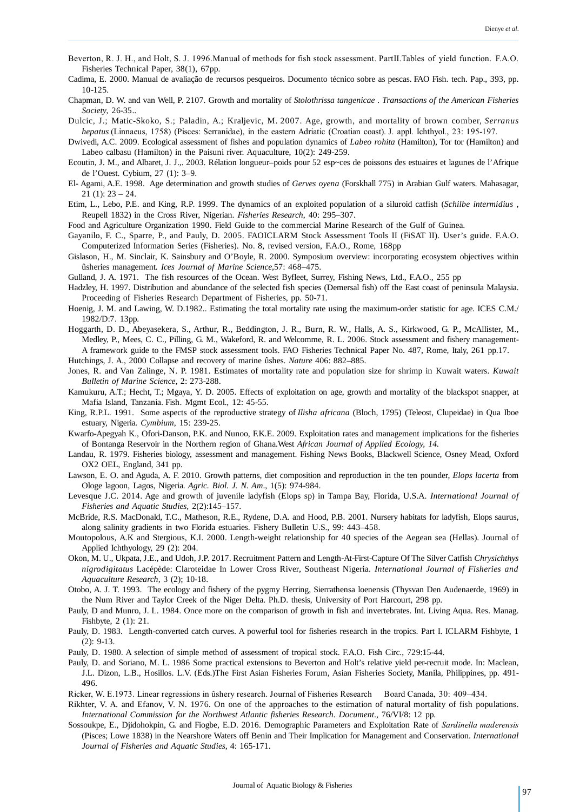- Beverton, R. J. H., and Holt, S. J. 1996.Manual of methods for fish stock assessment. PartII.Tables of yield function. F.A.O. Fisheries Technical Paper, 38(1), 67pp.
- Cadima, E. 2000. Manual de avaliação de recursos pesqueiros. Documento técnico sobre as pescas. FAO Fish. tech. Pap., 393, pp. 10-125.
- Chapman, D. W. and van Well, P. 2107. Growth and mortality of *Stolothrissa tangenicae* . *Transactions of the American Fisheries Society*, 26-35..
- Dulcic, J.; Matic-Skoko, S.; Paladin, A.; Kraljevic, M. 2007. Age, growth, and mortality of brown comber, *Serranus hepatus* (Linnaeus, 1758) (Pisces: Serranidae), in the eastern Adriatic (Croatian coast). J. appl. Ichthyol., 23: 195-197.
- Dwivedi, A.C. 2009. Ecological assessment of fishes and population dynamics of *Labeo rohita* (Hamilton), Tor tor (Hamilton) and Labeo calbasu (Hamilton) in the Paisuni river. Aquaculture, 10(2): 249-259.
- Ecoutin, J. M., and Albaret, J. J.,. 2003. Rélation longueur–poids pour 52 esp~ces de poissons des estuaires et lagunes de l'Afrique de l'Ouest. Cybium, 27 (1): 3–9.
- El- Agami, A.E. 1998. Age determination and growth studies of *Gerves oyena* (Forskhall 775) in Arabian Gulf waters. Mahasagar,  $21$  (1):  $23 - 24$ .
- Etim, L., Lebo, P.E. and King, R.P. 1999. The dynamics of an exploited population of a siluroid catfish (*Schilbe intermidius* , Reupell 1832) in the Cross River, Nigerian. *Fisheries Research*, 40: 295–307.

Food and Agriculture Organization 1990. Field Guide to the commercial Marine Research of the Gulf of Guinea.

- Gayanilo, F. C., Sparre, P., and Pauly, D. 2005. FAOICLARM Stock Assessment Tools II (FiSAT II). User's guide. F.A.O. Computerized Information Series (Fisheries). No. 8, revised version, F.A.O., Rome, 168pp
- Gislason, H., M. Sinclair, K. Sainsbury and O'Boyle, R. 2000. Symposium overview: incorporating ecosystem objectives within ûsheries management*. Ices Journal of Marine Science,*57: 468–475.
- Gulland, J. A. 1971. The fish resources of the Ocean. West Byfleet, Surrey, Fishing News, Ltd., F.A.O., 255 pp
- Hadzley, H. 1997. Distribution and abundance of the selected fish species (Demersal fish) off the East coast of peninsula Malaysia. Proceeding of Fisheries Research Department of Fisheries, pp. 50-71.
- Hoenig, J. M. and Lawing, W. D.1982.. Estimating the total mortality rate using the maximum-order statistic for age. ICES C.M./ 1982/D:7. 13pp.
- Hoggarth, D. D., Abeyasekera, S., Arthur, R., Beddington, J. R., Burn, R. W., Halls, A. S., Kirkwood, G. P., McAllister, M., Medley, P., Mees, C. C., Pilling, G. M., Wakeford, R. and Welcomme, R. L. 2006. Stock assessment and fishery management-A framework guide to the FMSP stock assessment tools. FAO Fisheries Technical Paper No. 487, Rome, Italy, 261 pp.17.
- Hutchings, J. A., 2000 Collapse and recovery of marine ûshes. *Nature* 406: 882–885.
- Jones, R. and Van Zalinge, N. P. 1981. Estimates of mortality rate and population size for shrimp in Kuwait waters. *Kuwait Bulletin of Marine Science,* 2: 273-288.
- Kamukuru, A.T.; Hecht, T.; Mgaya, Y. D. 2005. Effects of exploitation on age, growth and mortality of the blackspot snapper, at Mafia Island, Tanzania. Fish. Mgmt Ecol., 12: 45-55.
- King, R.P.L. 1991. Some aspects of the reproductive strategy of *Ilisha africana* (Bloch, 1795) (Teleost, Clupeidae) in Qua Iboe estuary, Nigeria*. Cymbium*, 15: 239-25.
- Kwarfo-Apegyah K., Ofori-Danson, P.K. and Nunoo, F.K.E. 2009. Exploitation rates and management implications for the fisheries of Bontanga Reservoir in the Northern region of Ghana.West *African Journal of Applied Ecology, 14.*
- Landau, R. 1979. Fisheries biology, assessment and management. Fishing News Books, Blackwell Science, Osney Mead, Oxford OX2 OEL, England, 341 pp.
- Lawson, E. O. and Aguda, A. F. 2010. Growth patterns, diet composition and reproduction in the ten pounder, *Elops lacerta* from Ologe lagoon, Lagos, Nigeria*. Agric. Biol. J. N. Am*., 1(5): 974-984.
- Levesque J.C. 2014. Age and growth of juvenile ladyfish (Elops sp) in Tampa Bay, Florida, U.S.A. *International Journal of Fisheries and Aquatic Studies,* 2(2):145–157.
- McBride, R.S. MacDonald, T.C., Matheson, R.E., Rydene, D.A. and Hood, P.B. 2001. Nursery habitats for ladyfish, Elops saurus, along salinity gradients in two Florida estuaries. Fishery Bulletin U.S., 99: 443–458.
- Moutopolous, A.K and Stergious, K.I. 2000. Length-weight relationship for 40 species of the Aegean sea (Hellas). Journal of Applied Ichthyology, 29 (2): 204.
- Okon, M. U., Ukpata, J.E., and Udoh, J.P. 2017. Recruitment Pattern and Length-At-First-Capture Of The Silver Catfish *Chrysichthys nigrodigitatus* Lacépède: Claroteidae In Lower Cross River, Southeast Nigeria. *International Journal of Fisheries and Aquaculture Research,* 3 (2); 10-18.
- Otobo, A. J. T. 1993. The ecology and fishery of the pygmy Herring, Sierrathensa loenensis (Thysvan Den Audenaerde, 1969) in the Num River and Taylor Creek of the Niger Delta. Ph.D. thesis, University of Port Harcourt, 298 pp.
- Pauly, D and Munro, J. L. 1984. Once more on the comparison of growth in fish and invertebrates. Int. Living Aqua. Res. Manag. Fishbyte, 2 (1): 21.
- Pauly, D. 1983. Length-converted catch curves. A powerful tool for fisheries research in the tropics. Part I. ICLARM Fishbyte, 1  $(2): 9-13.$
- Pauly, D. 1980. A selection of simple method of assessment of tropical stock. F.A.O. Fish Circ., 729:15-44.
- Pauly, D. and Soriano, M. L. 1986 Some practical extensions to Beverton and Holt's relative yield per-recruit mode. In: Maclean, J.L. Dizon, L.B., Hosillos. L.V. (Eds.)The First Asian Fisheries Forum, Asian Fisheries Society, Manila, Philippines, pp. 491- 496.
- Ricker, W. E.1973. Linear regressions in ûshery research. Journal of Fisheries Research Board Canada, 30: 409–434.
- Rikhter, V. A. and Efanov, V. N. 1976. On one of the approaches to the estimation of natural mortality of fish populations. *International Commission for the Northwest Atlantic fisheries Research. Document*., 76/VI/8: 12 pp.
- Sossoukpe, E., Djidohokpin, G. and Fiogbe, E.D. 2016. Demographic Parameters and Exploitation Rate of *Sardinella maderensis* (Pisces; Lowe 1838) in the Nearshore Waters off Benin and Their Implication for Management and Conservation. *International Journal of Fisheries and Aquatic Studies*, 4: 165-171.